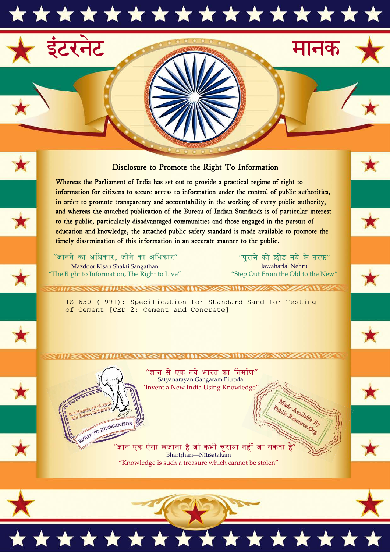

М

\*\*\*\*\*\*\*\*\*\*\*\*\*\*\*\*\*

इंटरनेट मानक

# Disclosure to Promote the Right To Information

Whereas the Parliament of India has set out to provide a practical regime of right to information for citizens to secure access to information under the control of public authorities, in order to promote transparency and accountability in the working of every public authority, and whereas the attached publication of the Bureau of Indian Standards is of particular interest to the public, particularly disadvantaged communities and those engaged in the pursuit of education and knowledge, the attached public safety standard is made available to promote the timely dissemination of this information in an accurate manner to the public.

 $"$ जानने का अधिकार, जीने का अधिकार $"$ Mazdoor Kisan Shakti Sangathan "The Right to Information, The Right to Live"

 $"$ पराने को छोड नये के तरफ $"$ Jawaharlal Nehru "Step Out From the Old to the New"

> Made Available By **Made Available By**

\* \* \* \* \*

**NY THUS ASSEMS THE REAL STATE** 

IS 650 (1991): Specification for Standard Sand for Testing of Cement [CED 2: Cement and Concrete]





\*\*\*\*\*\*\*

 $^{\prime\prime}$ ज्ञान से एक नये भारत का निर्माण $^{\prime\prime}$ Satyanarayan Gangaram Pitroda "Invent a New India Using Knowledge"

Bhartṛhari—Nītiśatakam "Knowledge is such a treasure which cannot be stolen"

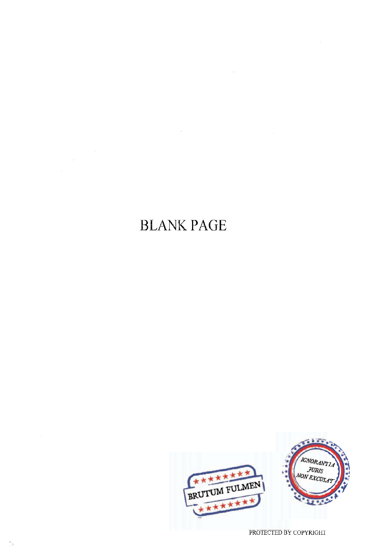# **BLANK PAGE**



PROTECTED BY COPYRIGHT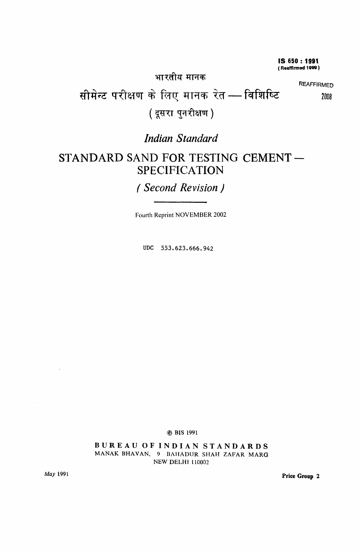**IS 650 : 199t** ( **Reaffirmed 1999 )**

भारतीय मानक

REAFFIRMED

सीमेन्ट परीक्षण के लिए मानक रेत - विशिष्टि 2008 ( दूसरा पुनरीक्षण )

*Indian Standard*

# **STANDARD SAND FOR TESTING CEMENT-SPECIFICATION**

*( Second Revision)*

Fourth Reprint NOVEMBER 2002

UDC 553.623.666.942

@ BIS 1991

**BUREAU OF INDIAN STANDARDS** MANAK BHAVAN, 9 DAHADUR SHAH ZAFAR MARG NEW DELHI 110002

May <sup>1991</sup> **Price Group 2**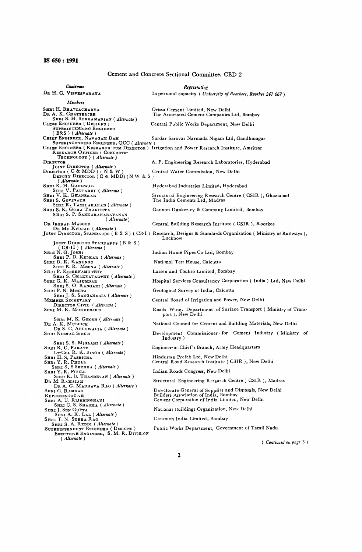# **IS 650: 1991**

# Cement and Concrete Sectional Committee, CED 2

| Chairman                                                                                                                           | Representing                                                                                                                                        |
|------------------------------------------------------------------------------------------------------------------------------------|-----------------------------------------------------------------------------------------------------------------------------------------------------|
| DR H. C. VISVESVARAYA                                                                                                              | In personal capacity ( University of Roorkeee, Roorkee 247 667)                                                                                     |
| <b>Members</b>                                                                                                                     |                                                                                                                                                     |
| Sнві Н. Внаттаснавуа<br>DR A. K. CHATTERJEE                                                                                        | Orissa Cement Limited, New Delhi<br>The Associated Cement Companies Ltd, Bombay                                                                     |
| SHRI S. H. SUBRAMANIAN (Alternate)<br>Chief Engineer ( Designs )<br>SUPERINTENDING ENGINEER                                        | Central Public Works Department, New Delhi                                                                                                          |
| (B&S) (Alternate)<br>CHIEF ENGINEER, NAVAGAM DAM<br>SUPERINTENDING ENGINEER, QCC (Alternate)                                       | Sardar Sarovar Narmada Nigam Ltd, Gandhinagar                                                                                                       |
| RESEARCH OFFICER (CONCRETE-<br>TECHNOLOGY ) (Alternate)                                                                            | CHIEF ENGINEER (RESEARCH-CUM-DIRECTOR) Irrigation and Power Research Institute, Amritsar                                                            |
| DIRECTOR                                                                                                                           | A. P. Engineering Research Laboratories, Hyderabad                                                                                                  |
| JOINT DIRECTOR (Alternate)<br>$D_{\text{IRECTOR}}$ ( C & MDD ) ( N & W )<br>DEPUTY DIRECTOR $(C & MDD)$ $(N W & S)$<br>(Alternate) | Central Water Commission, New Delhi                                                                                                                 |
| Shri K. H. Gangwal<br>SHRI V. PATTABHI (Alternate)                                                                                 | Hyderabad Industries Limited, Hyderabad                                                                                                             |
| SHRI V. K. GHANEKAR<br>Shri S. Gopinath<br>SHRI R. TAMILAKARAN (Alternate)                                                         | Structural Engineering Research Centre (CSIR), Ghaziabad<br>The India Cements Ltd, Madras                                                           |
| SHRI S. K. GUHA THAKURTA                                                                                                           | Gannon Dunkerley & Company Limited, Bombay                                                                                                          |
| SHRI S. P. SANKARANARAYANAN<br>(Alternate)                                                                                         |                                                                                                                                                     |
| DR IRSHAD MASOOD<br>DR MD KHALID (Alternate)                                                                                       | Central Building Research Institute (CSIR), Roorkee                                                                                                 |
|                                                                                                                                    | JOINT DIRECTOR, STANDARDS (B & S) (CB-I) Research, Designs & Standards Organization (Ministry of Railways),<br>Lucknow                              |
| JOINT DIRECTOR STANDARDS (B & S)<br>$(CB-II)$ ( <i>Alternate</i> )                                                                 |                                                                                                                                                     |
| SHRI N. G. JOSHI<br>SHRI P. D. KELKAR (Alternate)                                                                                  | Indian Hume Pipes Co Ltd, Bombay                                                                                                                    |
| Shri D. K. Kanungo<br>SHRI B. R. MEENA (Alternate)                                                                                 | National Test House, Calcutta                                                                                                                       |
| Shri P. Krishnamurthy                                                                                                              | Larsen and Toubro Limited, Bombay                                                                                                                   |
| SHRI S. CHAKRAVARTHY (Alternate)<br>SHRI G. K. MAJUMDAR                                                                            | Hospital Services Consultancy Corporation (India) Ltd, New Delhi                                                                                    |
| SBRI S. O. RANGARI (Alternate)<br>Shri P. N. Mehta                                                                                 | Geological Survey of India, Calcutta                                                                                                                |
| SHRI J. S. SANGANERIA (Alternate)<br>MEMBER SECRETARY                                                                              | Central Board of Irrigation and Power, New Delhi                                                                                                    |
| DIRECTOR CIVIL (Alternate)<br>Shri M. K. Mukherje e                                                                                | Roads Wing, Department of Surface Transport ( Ministry of Trans-                                                                                    |
|                                                                                                                                    | port), New Delhi                                                                                                                                    |
| SHRI M. K. GHOSH (Alternate)<br>$D_R$ A. K. MULLICK                                                                                | National Council for Cement and Building Materials, New Delhi                                                                                       |
| DR S. C. AHLUWALIA (Alternate)<br>Shri Nirmal Singh                                                                                | Development Commissioner for Cement Industry (Ministry of<br>Industry)                                                                              |
| SHRI S. S. MIGLANI (Alternate)<br>SHRI R. C. PARATE                                                                                | Engineer-in-Chief's Branch, Army Headquarters                                                                                                       |
| $L_T$ - $C_{OL}$ R. K. $S$ INGH (Alternate)<br>SHRI H. S. PASRICHA<br>SHRI Y. R. PHULL                                             | Hindustan Prefab Ltd, New Delhi<br>Central Road Research Institute (CSIR), New Delhi                                                                |
| SHRI S. S SEEHRA (Alternate)<br>Shri Y. R. Phull                                                                                   | Indian Roads Congress, New Delhi                                                                                                                    |
| SHRI K. B. THANDEVAN (Alternate)<br>DR M. RAMAIAH                                                                                  | Structural Engineering Research Centre (CSIR), Madras                                                                                               |
| DR A. G. MADHAVA RAO (Alternate)<br>SHRI G. RAMDAS<br>REPRESENTATIVE<br>Shri A. U. Rijhsinghani                                    | Directorate General of Supplies and Disposals, New Delhi<br>Builders Association of India, Bombay<br>Cement Corporation of India Limited, New Delhi |
| SHRI C. S. SHARMA (Alternate)<br>Shri J. Sen Gupta                                                                                 | National Buildings Organization, New Delhi                                                                                                          |
| SHRI A. K. LAL (Alternate)<br>Shri T. N. Subba Rao                                                                                 | Gammon India Limited, Bombay                                                                                                                        |
| SHRI S. A. REDDI (Alternate)<br>SUPERINTENDENT ENGINEER (DESIGNS)<br>EXECUTIVE ENGINEER, S. M. R. DIVISION                         | Public Works Department, Government of Tamil Nadu                                                                                                   |
| (Alternate)                                                                                                                        | (Continued on page 3)                                                                                                                               |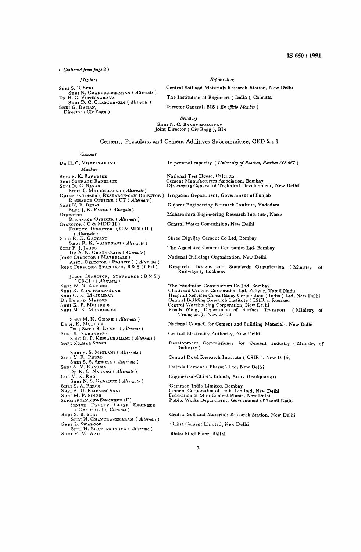*Continued from page* 2 )

### *Members*

SHRI S. B. SURI SHRI N. CHANDRASEKARAN ( *Alternate)* DR H. C. VISVESVARAYA SHRI D. C. CRATTURVEDJ ( *Alternate)* SHRI G. RAMAN, Director ( Civ Engg )

#### *Representing*

Central Soil and Materials Research Station, New Delhi

The Institution of Engineers ( Lndia ), Calcutta

Director General, BIS ( *Ex-cfficio Member)*

*Secretary* SHRIN. C. BANDYOPADHYAY Joint Director ( Civ Engg ), BIS

### Cement, Pozzolana and Cement Additives Subcommittee, CED 2 1

#### *Convener*

DR H. C. VISVESVARAYA *Members* SHRI S. K. BANERJEE SHRI SOMNATH BANERJER Shri N. G. Basak<br>Shri T. Madneshwar (*Alternate*)<br>Chief Engineer ( Research-cum Director ) RESEARCR OFFICER ( CT ) *Alternate)* Shri N. B. Desai SHRIJ. K. PATEL ( *Alternate)* DIRECTOR RESEARCH OFFICER ( *Alternate)* DIRECTOR (C & MDD II) DEPUTY DIRECTOR (C & MDD II) ( *Alternate)* SHRI R. K. GATTANJ SaRI R. K. VAISHNAVI ( *Alternate)* SHRI P.J.JAGUS DR A. K. CHATTERJEE *(Alternate)* JOINT DIRECTOR ( MATERIALS) ASSTT DIRECTOR ( PLASTIC) *(Alternate)* JOINT DIRECTOR, STANDARDS B & S (CB-I) JOINT DIRECTOR, STANDARDS ( B & S ) ( CB-II ) ( *Alternate)* Shri W. N. Karode Seri R. Kunjithapatta<mark>m</mark> Shri G. K. Majumdar<br>Dr Irshad Masood<br>Shri K. P. Mohideen SERI M. K. MUKHERJEE SERI M. K. GHOSH ( *Alternate)* D<sub>R</sub> A. K. MULLICK<br>Dr ( Smt ) S. Laxmi *( Alternate* )<br>Shri K. Naranappa<br>Shri D. P. K<u>ewalramani *( Alternate* )</u> SHRI NIRMAL SINGH SHRI S. S. MIGLANI ( *Allernate* ) SHRI Y. R. PBULL SHRI S. S. SXEHRA ( *Alternate)* SERI A. V. RAM,ANA DR K. C. NARANG ( *Alternate)* COL V. K. RAO SHRI N. S. GALANDE ( *Alternate* )<br>Shri S. A. Reddi<br>Shri A. U. Rijusinghani Shri M. P. Singh<br>Superintending Engin**e**er (D) SENIOR DEPUTY CHIEF ENGINEER<br>(GENERAL) (Alternate) Shri S. B. Suri<br>"Shri N. Chandrasekaran (*Alternate* )  ${\tt S}_{\tt{HRI}}$  L. Swaroop SHBI H. BHATTACHARYA ( *Alternate)* SHRI V. M. WAD

In personal capacity ( *University* of*Roorkee, Roorkee* 247 667 )

National Test House, Calcutta Cement Manufacturers Association. Bombay Directorate General of Technical Development, New Delhi

Irrigation Department, Government of Punjab

Gujarat Engineering Researcb Institute, Vadodara

Maharashtra Engineering Research Institute, Nasik

Central Water Commission, New Delhi

Shree Digvijay Cement Co Ltd, Bombay

The Associated Cement Companies Ltd, Bombay

Naticnal Buildings Organization, New Delhi

Research, Designs and Standards Organization (Ministry of Railways), Lucknow

The Hindustan Construction Co Ltd, Bombay

Chattinad Cement Corporation Ltd, Poliyur, Tamil Nadu Hospital Services Consultancy Corporation ( India) Ltd, New Delhi Central Building Research Institute ( CSIR ), Roorkee

Central Warehousing Corporation, New Delhi Roads Wing, Department of Surface Transport (Ministry of Transport), New Delhi

National Council for Cement and Building Materials, New Delhi

Central Electricity Authority, New Delhi

Development Commissioner for Cement Industry (Ministry of Industry)

Central Road Research Institute ( CSIR. ), New Delhi

Dalmia Cement ( Bharat ) Ltd, New Delhi

Engineer-in-Chief's Branch, Army Headquarters

Gammon India Limited, Bombay Cement Corporation of India Limited, New Delbi Federation of Mini Cement Plants, New Delhi Public Works Department, Government of Tamil Nadu

Central Soil and Materials Research Station, New Delhi

Orissa Cement Limited, New Delhi

Bhilai Steel Plant, Bhilai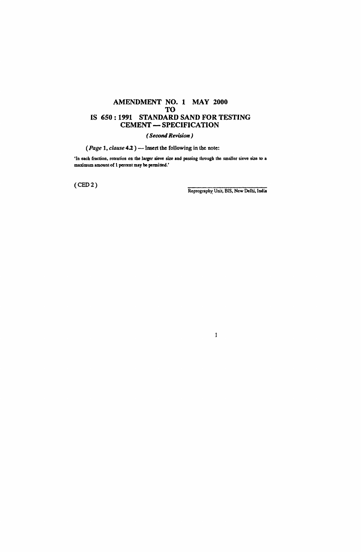# AMENDMENT NO. 1 MAY 2000 TO IS 650: 1991 STANDARD SAND FOR TESTING CEMENT - SPECIFICATION

*( SecoM Revision)*

# *(Page 1, clause 4.2)* — Insert the following in the note:

'In each fraction, retention on the larger sieve size and passing through the smaller sieve size to a maximum amount of 1 percent may be permitted.'

(CED2)

Reprography Unit, BIS, New Delhi, India

1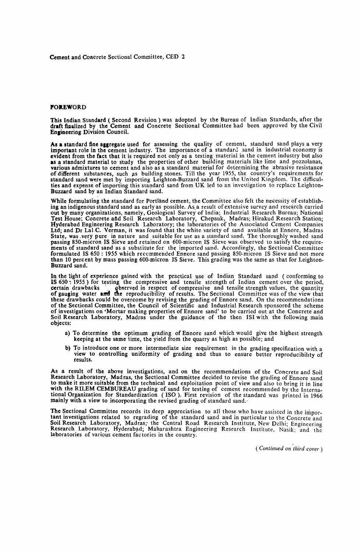Cement and Concrete Sectional Committee, CED 2

### **FOREWORD**

This Indian Standard (Second Revision) was adopted by the Bureau of Indian Standards, after the draft finalized by the Cement and Concrete Sectional Committee had been approved by the Civil Engineering Division Council.

As a standard fine aggregate used for assessing the quality of cement, standard sand plays a very important role in the cement industry. The importance of a standard sand in industrial economy is evident from the fact that it is required not only as a testing material in the cement industry but also as a standard material to study the properties of other building materials like lime and pozzolanas, various admixtures to cement and also as a standard material for determining the abrasive resistance of different substances, such as building stones. Till the year 1955, the country's requirements for standard sand were met by importing Leighton-Buzzard sand from the United Kingdom. The difficulties and expense of importing this standard sand from UK led to an investigation to replace Leighton-Buzzard sand by an Indian Standard sand.

While formulating the standard for Portland cement, the Committee also felt the necessity of establishing an indigenous standard sand as early as possible. As.a result of extensive survey and research carried out by many organizations, namely, Geological Survey of India; Industrial Research Bureau; National Test House; Concrete and Soil Research Laboratory, Chepauk, Madras; Hirakud Research Station; Hyderabad Engineering Research Laboratory; the laboratories of the Associated Cement Companies Ltd; and Dr LaIC. Yerman, it was found that the white variety of sand available at Ennore, Madras State, was .very pure in nature and suitable for use as a standard sand. The thoroughly washed sand passing S50-micron IS Sieve and r etained on 600·micron IS Sieve was observed to satisfy the requirements of standard sand as a substitute for the imported sand. Accordingly, the Sectional Committee formulated IS 650 : 1955 which recommended Ennore sand passing S50-micron IS Sieve and not more than 10 percent by mass passing 600-micron IS Sieve. This grading was the same as that for Leighton-Buzzard sand:

In the light of experience gained with the practical use of Indian Standard sand (conforming to IS 650: 1955) for testing the compressive and tensile strength of Indian cement over the period, certain drawbacks ig observed in respect of compressive and tensile strength values, the quantity of gauging water and the reproducibility of results. The Sectional Committee was of the view that these drawbacks could be overcome by revising the grading of Ennore sand. On the recommendations of the Sectional Committee, the Council of Scientific and Industrial Research sponsored the scheme of investigations on 'Mortar making properties of Ennore sand' to be carried out at the Concrete and Soil Research Laboratory, Madras under the guidance of the then ISI with the following main objects:

- a) To determine the optimum grading of Ennore sand which would give the highest strength keeping at the same time, the yield from the quarry as high as possible; and
- b) To introduce one or more intermediate size requirement in the grading specification with a view to controlling uniformity of grading and thus to ensure better reproducibihty of results.

As a result of the above investigations, and on the recommendations of the Concrete and Soil Research Laboratory, Madras, the Sectional Committee decided to revise the grading of Ennore sand to make it more suitable from the technical and exploitation point of view and also to bring it in line with the RILEM CEMBUREAU grading of sand for testing of cement recommended by the International Organization for Standardization (ISO). First revision of the standard was printed in 1966 mainly with a view to incorporating the revised grading of standard sand.'

The Sectional Committee records its deep appreciation to all those who have assisted in the important investigations related to regrading of the standard sand and in particular to the Concrete and Soil Research Laboratory, Madras; the Central Road Research Institute, New Delhi; Engineering Research Laboratory, Hyderabad; Maharashtra Engineering Research Institute, Nasik; and the laboratories of various cement factories in the country.

( *Continued on third cover)*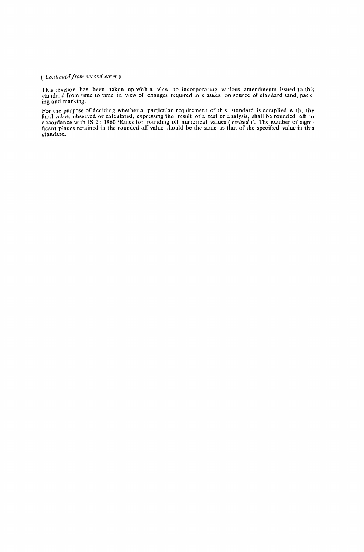## *( Continued from second cover)*

This revision has been taken up with a view to incorporating various amendments issued to this standard from time to time in view of changes required in clauses on source of standard sand, packing and marking.

For the purpose of deciding whether a particular requirement of this standard is complied with, the final value, observed or calculated, expressing the result of a test or analysis, shall be rounded off in accordance with IS 2 : 1960 'Rules for rounding off numerical values *i revised* Y, The number of significant places retained in the rounded off value should be the same as that of the specified value in this standard.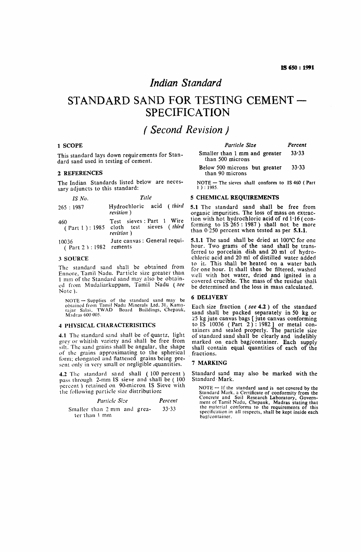# *Indian Standard*

# **STANDARD SAND FOR TESTING CEMENT-SPECIFICATION**

# *( Second Revision)*

### 1 SCOPE

This standard lays down requir ements for Standard sand used in testing of cement.

### 2 REFERENCES

The Indian Standards listed below are necessary adjuncts to this standard:

| $IS$ No.                          | Title<br>Hydrochloric acid (third<br>revision)                                   |  |  |
|-----------------------------------|----------------------------------------------------------------------------------|--|--|
| 265:1987                          |                                                                                  |  |  |
| 460                               | Test sieves: Part 1 Wire<br>(Part 1): 1985 cloth test sieves (third<br>revision) |  |  |
| 10036<br>$(Part 2): 1982$ rements | Jute canvas : General requi-                                                     |  |  |

### .3 SOURCE

The standard sand shall be obtained from Ennore, Tamil Nadu. Particle size greater than 1 mm of the Standard sand may also be obtaincd from Mudaliarkuppam, Tamil Nadu *(see* Note ).

NOTE - Supplies of the standard sand may be obtained from Tamil Nadu Minerals Ltd. 31, Kama-rajar Salai, TWAD Board Buildings, Chepauk, rajar Salai, TV<br>Madras 600 005.

### 4 PHYSICAL CHARACTERISITICS

4.1 The standard sand shall be of quartz, light grey or whitish variety and shall be free from silt. The sand grains shall be angular, the shape of the grains approximating to the spherical form; elongated and flattened grains being present only in very small or negligible ,quantities.

4.2 The standard sand shall (100 percent) pass through 2-mm IS sieve and shall be (100 percent) retained on 90-micron IS Sieve with the following particle size distribution:

| Percent |
|---------|
|         |

| Smaller than 2 mm and grea- |  | 33.33 |
|-----------------------------|--|-------|
| ter than 1 mm               |  |       |

Smaller than 1 mm and greater 33.33 than 500 microns

Below 500 microns but greater 33'33 than 90 microns

 $NOTE - The sieves shall conform to IS 460 (Part)$ I ) : 1985.

### 5 CHEMICAL REQUIREMENTS

5.1 The standard sand shall be free from organic impurities. The loss of mass on extraction with hot hydrochloric acid of rd 1'16 (conforming to IS 265 : 1987) shall not be more than  $0.250$  percent when tested as per 5.1.1.

5.1.1 The sand shall be dried at 100°C for one hour. Two grams of the sand shall be transferred to porcelain dish and 20 ml of hydrochloric acid and 20 ml of distilled water added to it. This shall be heated on a water bath for one hour. It shall then be filtered, washed well with hot water, dried and ignited in a covered crucible. The mass of the residue shalt be determined and the loss in mass calculated.

#### 6 DELIVERY

Each size fraction *(see* 4.2) of the standard sand shall be packed separately in 50 kg or 25 kg jute canvas bags [ jute canvas conforming to IS 10036 (Part 2): 1982] or metal containers and sealed properly. The particle size of standard sand shall be clearly and indelibly marked on each bag/container. Each supply shall contain equal quantities of each of the . fractions.

#### 7 MARKING

Standard sand may also be marked with the Standard Mark.

NOTE - 1f the standard sand is not covered by the Standard Mark, a Certificate of conformity from the<br>Concrete and Soil Research Laboratory, Government of Tamil Nadu, Chepauk, Madras stating that<br>men the material conforms to the requirements of this<br>specification in all r bag/container.

*Particle Size Percent*